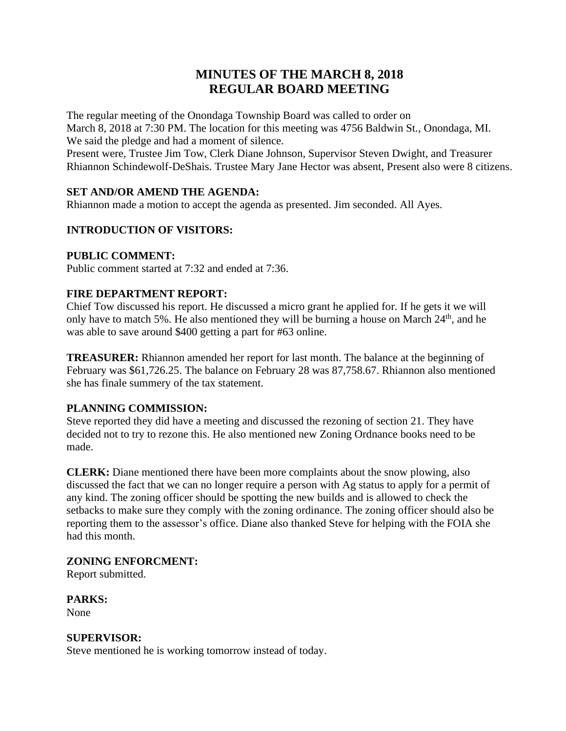# **MINUTES OF THE MARCH 8, 2018 REGULAR BOARD MEETING**

The regular meeting of the Onondaga Township Board was called to order on March 8, 2018 at 7:30 PM. The location for this meeting was 4756 Baldwin St., Onondaga, MI. We said the pledge and had a moment of silence.

Present were, Trustee Jim Tow, Clerk Diane Johnson, Supervisor Steven Dwight, and Treasurer Rhiannon Schindewolf-DeShais. Trustee Mary Jane Hector was absent, Present also were 8 citizens.

## **SET AND/OR AMEND THE AGENDA:**

Rhiannon made a motion to accept the agenda as presented. Jim seconded. All Ayes.

## **INTRODUCTION OF VISITORS:**

#### **PUBLIC COMMENT:**

Public comment started at 7:32 and ended at 7:36.

#### **FIRE DEPARTMENT REPORT:**

Chief Tow discussed his report. He discussed a micro grant he applied for. If he gets it we will only have to match 5%. He also mentioned they will be burning a house on March 24<sup>th</sup>, and he was able to save around \$400 getting a part for #63 online.

**TREASURER:** Rhiannon amended her report for last month. The balance at the beginning of February was \$61,726.25. The balance on February 28 was 87,758.67. Rhiannon also mentioned she has finale summery of the tax statement.

#### **PLANNING COMMISSION:**

Steve reported they did have a meeting and discussed the rezoning of section 21. They have decided not to try to rezone this. He also mentioned new Zoning Ordnance books need to be made.

**CLERK:** Diane mentioned there have been more complaints about the snow plowing, also discussed the fact that we can no longer require a person with Ag status to apply for a permit of any kind. The zoning officer should be spotting the new builds and is allowed to check the setbacks to make sure they comply with the zoning ordinance. The zoning officer should also be reporting them to the assessor's office. Diane also thanked Steve for helping with the FOIA she had this month.

#### **ZONING ENFORCMENT:**

Report submitted.

**PARKS:** None

#### **SUPERVISOR:**

Steve mentioned he is working tomorrow instead of today.